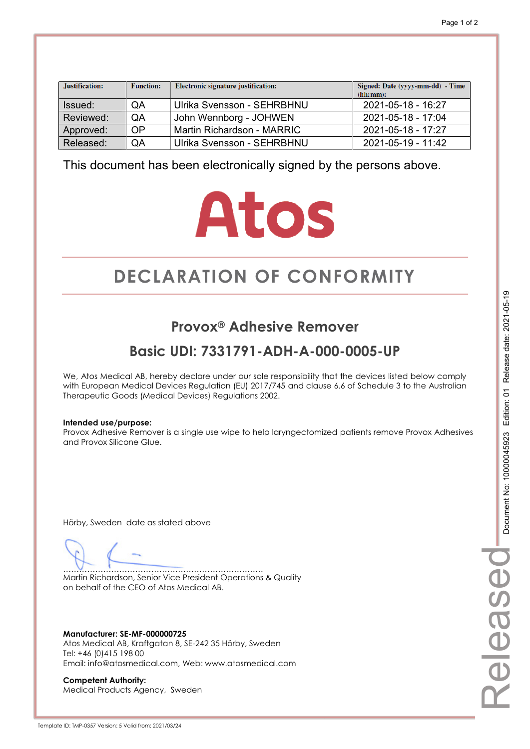| Justification: | <b>Function:</b> | Electronic signature justification: | Signed: Date (yyyy-mm-dd) - Time<br>(hh:mm): |
|----------------|------------------|-------------------------------------|----------------------------------------------|
| Issued:        | QA               | Ulrika Svensson - SEHRBHNU          | 2021-05-18 - 16:27                           |
| Reviewed:      | QA               | John Wennborg - JOHWEN              | 2021-05-18 - 17:04                           |
| Approved:      | OP               | Martin Richardson - MARRIC          | 2021-05-18 - 17:27                           |
| Released:      | QA               | Ulrika Svensson - SEHRBHNU          | 2021-05-19 - 11:42                           |

# **Atos**

# **DECLARATION OF CONFORMITY CONFORMITY**

## **Provox® Adhesive Remover**

## **Basic UDI: 7331791-ADH-A-000-0005-UP**

We, Atos Medical AB, hereby declare under our sole responsibility that the devices listed below comply with European Medical Devices Regulation (EU) 2017/745 and clause 6.6 of Schedule 3 to the Australian Therapeutic Goods (Medical Devices) Regulations 2002.

#### **Intended use/purpose:**

Provox Adhesive Remover is a single use wipe to help laryngectomized patients remove Provox Adhesives and Provox Silicone Glue.

Hörby, Sweden date as stated above

………………………………………………………………… Martin Richardson, Senior Vice President Operations & Quality on behalf of the CEO of Atos Medical AB.

**Manufacturer: SE-MF-000000725**  Atos Medical AB, Kraftgatan 8, SE-242 35 Hörby, Sweden Tel: +46 (0)415 198 00 Email: info@atosmedical.com, Web: www.atosmedical.com

**Competent Authority:**  Medical Products Agency, Sweden Released

elease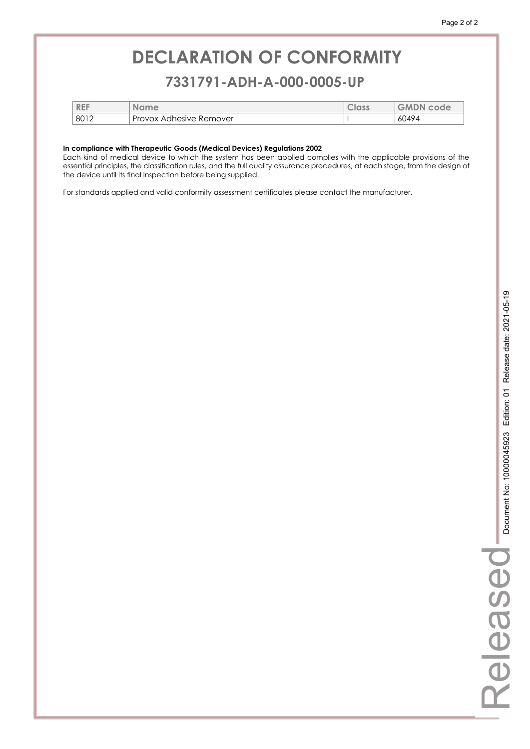### **7331791-ADH-A-000-0005-UP 7331791-ADH-A-000-0005-UP**

| <b>REF</b> | Name                           | <b>GEDIJ</b> | <b>GMDN</b><br>code |
|------------|--------------------------------|--------------|---------------------|
| 8012       | <b>Provox Adhesive Remover</b> |              | 60494               |

#### **In compliance with Therapeutic Goods (Medical Devices) Regulations 2002**

Each kind of medical device to which the system has been applied complies with the applicable provisions of the essential principles, the classification rules, and the full quality assurance procedures, at each stage, from the design of the device until its final inspection before being supplied.

For standards applied and valid conformity assessment certificates please contact the manufacturer.

Released

Released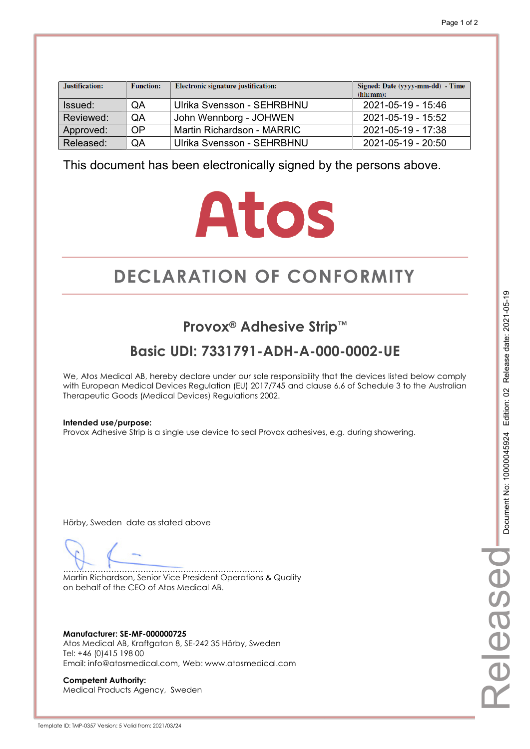| Justification: | <b>Function:</b> | Electronic signature justification: | Signed: Date (yyyy-mm-dd) - Time<br>(hh:mm): |
|----------------|------------------|-------------------------------------|----------------------------------------------|
| Issued:        | QA               | Ulrika Svensson - SEHRBHNU          | 2021-05-19 - 15:46                           |
| Reviewed:      | QA               | John Wennborg - JOHWEN              | 2021-05-19 - 15:52                           |
| Approved:      | <b>OP</b>        | Martin Richardson - MARRIC          | 2021-05-19 - 17:38                           |
| Released:      | QA               | Ulrika Svensson - SEHRBHNU          | 2021-05-19 - 20:50                           |

# **Atos**

# **DECLARATION OF CONFORMITY CONFORMITY**

## **Provox® Adhesive Strip™**

## **Basic UDI: 7331791-ADH-A-000-0002-UE**

We, Atos Medical AB, hereby declare under our sole responsibility that the devices listed below comply with European Medical Devices Regulation (EU) 2017/745 and clause 6.6 of Schedule 3 to the Australian Therapeutic Goods (Medical Devices) Regulations 2002.

#### **Intended use/purpose:**

Provox Adhesive Strip is a single use device to seal Provox adhesives, e.g. during showering.

Hörby, Sweden date as stated above

………………………………………………………………… Martin Richardson, Senior Vice President Operations & Quality on behalf of the CEO of Atos Medical AB.

**Manufacturer: SE-MF-000000725**  Atos Medical AB, Kraftgatan 8, SE-242 35 Hörby, Sweden Tel: +46 (0)415 198 00 Email: info@atosmedical.com, Web: www.atosmedical.com

**Competent Authority:**  Medical Products Agency, Sweden Released

eleased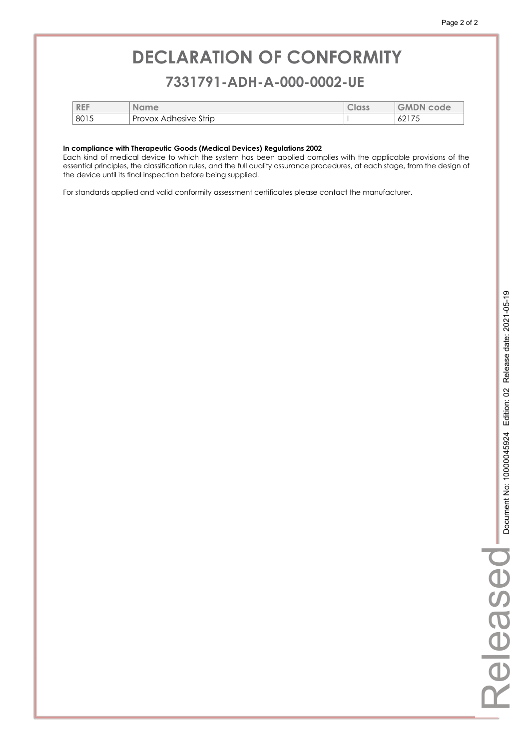### **7331791-ADH-A-000-0002-UE 7331791-ADH-A-000-0002-UE**

| <b>REF</b> | Name                  | Class | <b>GMDN code</b> |
|------------|-----------------------|-------|------------------|
| 8015       | Provox Adhesive Strip |       | 02 I 7 J         |

#### **In compliance with Therapeutic Goods (Medical Devices) Regulations 2002**

Each kind of medical device to which the system has been applied complies with the applicable provisions of the essential principles, the classification rules, and the full quality assurance procedures, at each stage, from the design of the device until its final inspection before being supplied.

For standards applied and valid conformity assessment certificates please contact the manufacturer.

Released

Released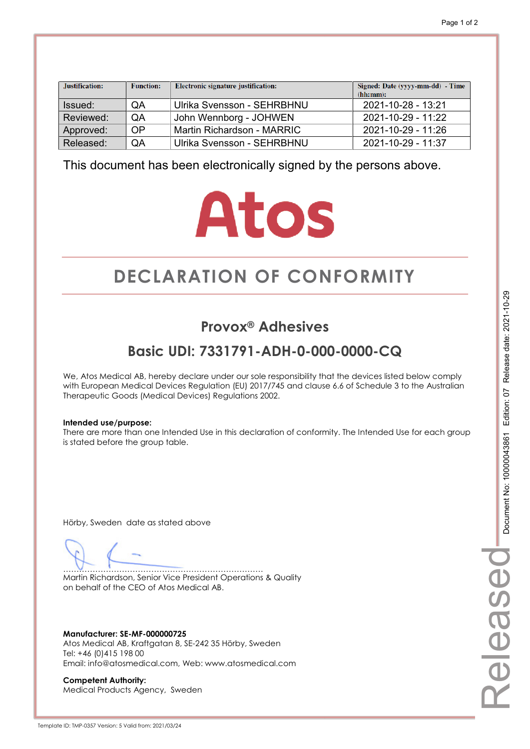| Justification: | <b>Function:</b> | Electronic signature justification: | Signed: Date (yyyy-mm-dd) - Time<br>(hh:mm): |
|----------------|------------------|-------------------------------------|----------------------------------------------|
| Issued:        | QA               | Ulrika Svensson - SEHRBHNU          | 2021-10-28 - 13:21                           |
| Reviewed:      | QA               | John Wennborg - JOHWEN              | $2021 - 10 - 29 - 11.22$                     |
| Approved:      | <b>OP</b>        | Martin Richardson - MARRIC          | 2021-10-29 - 11:26                           |
| Released:      | QA               | Ulrika Svensson - SEHRBHNU          | 2021-10-29 - 11:37                           |

# **Atos**

# **DECLARATION OF CONFORMITY CONFORMITY**

## **Provox® Adhesives**

## **Basic UDI: 7331791-ADH-0-000-0000-CQ**

We, Atos Medical AB, hereby declare under our sole responsibility that the devices listed below comply with European Medical Devices Regulation (EU) 2017/745 and clause 6.6 of Schedule 3 to the Australian Therapeutic Goods (Medical Devices) Regulations 2002.

#### **Intended use/purpose:**

There are more than one Intended Use in this declaration of conformity. The Intended Use for each group is stated before the group table.

Hörby, Sweden date as stated above

………………………………………………………………… Martin Richardson, Senior Vice President Operations & Quality on behalf of the CEO of Atos Medical AB.

**Manufacturer: SE-MF-000000725**  Atos Medical AB, Kraftgatan 8, SE-242 35 Hörby, Sweden Tel: +46 (0)415 198 00 Email: info@atosmedical.com, Web: www.atosmedical.com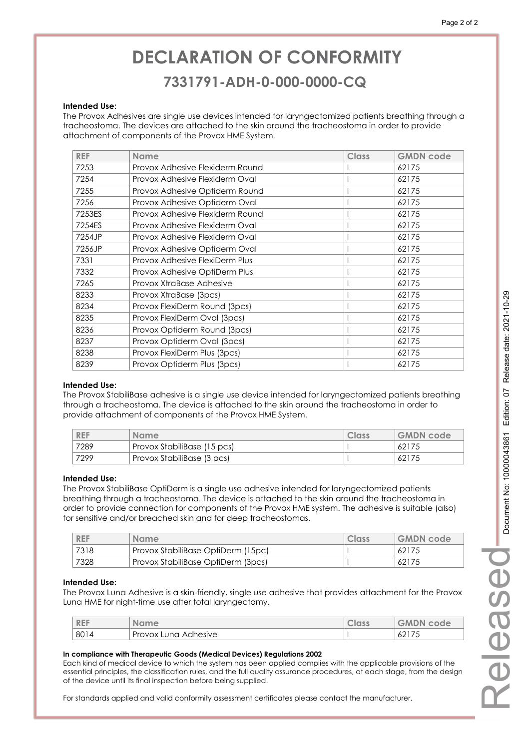### **7331791-ADH-0-000-0000-CQ 7331791-ADH-0-000-0000-CQ**

#### **Intended Use:**

The Provox Adhesives are single use devices intended for laryngectomized patients breathing through a tracheostoma. The devices are attached to the skin around the tracheostoma in order to provide attachment of components of the Provox HME System.

| <b>REF</b> | <b>Name</b>                     | <b>Class</b> | <b>GMDN code</b> |
|------------|---------------------------------|--------------|------------------|
| 7253       | Provox Adhesive Flexiderm Round |              | 62175            |
| 7254       | Provox Adhesive Flexiderm Oval  |              | 62175            |
| 7255       | Provox Adhesive Optiderm Round  |              | 62175            |
| 7256       | Provox Adhesive Optiderm Oval   |              | 62175            |
| 7253ES     | Provox Adhesive Flexiderm Round |              | 62175            |
| 7254ES     | Provox Adhesive Flexiderm Oval  |              | 62175            |
| 7254JP     | Provox Adhesive Flexiderm Oval  |              | 62175            |
| 7256JP     | Provox Adhesive Optiderm Oval   |              | 62175            |
| 7331       | Provox Adhesive FlexiDerm Plus  |              | 62175            |
| 7332       | Provox Adhesive OptiDerm Plus   |              | 62175            |
| 7265       | Provox XtraBase Adhesive        |              | 62175            |
| 8233       | Provox XtraBase (3pcs)          |              | 62175            |
| 8234       | Provox FlexiDerm Round (3pcs)   |              | 62175            |
| 8235       | Provox FlexiDerm Oval (3pcs)    |              | 62175            |
| 8236       | Provox Optiderm Round (3pcs)    |              | 62175            |
| 8237       | Provox Optiderm Oval (3pcs)     |              | 62175            |
| 8238       | Provox FlexiDerm Plus (3pcs)    |              | 62175            |
| 8239       | Provox Optiderm Plus (3pcs)     |              | 62175            |

#### **Intended Use:**

The Provox StabiliBase adhesive is a single use device intended for laryngectomized patients breathing through a tracheostoma. The device is attached to the skin around the tracheostoma in order to provide attachment of components of the Provox HME System.

| <b>REF</b> | <b>Name</b>                 | Class | <b>GMDN</b> code |
|------------|-----------------------------|-------|------------------|
| 7289       | Provox StabiliBase (15 pcs) |       | 62175            |
| 7299       | Provox StabiliBase (3 pcs)  |       | 62175            |

#### **Intended Use:**

The Provox StabiliBase OptiDerm is a single use adhesive intended for laryngectomized patients breathing through a tracheostoma. The device is attached to the skin around the tracheostoma in order to provide connection for components of the Provox HME system. The adhesive is suitable (also) for sensitive and/or breached skin and for deep tracheostomas.

| <b>REF</b> | <b>Name</b>                        | Class | <b>GMDN</b> code |
|------------|------------------------------------|-------|------------------|
| 7318       | Provox StabiliBase OptiDerm (15pc) |       | 62175            |
| 7328       | Provox StabiliBase OptiDerm (3pcs) |       | 62175            |

#### **Intended Use:**

The Provox Luna Adhesive is a skin-friendly, single use adhesive that provides attachment for the Provox Luna HME for night-time use after total laryngectomy.

| <b>REF</b> | <b>Name</b>          | <b>GIUSS</b> | <b>GMDN</b><br>code                               |
|------------|----------------------|--------------|---------------------------------------------------|
| 8014       | Provox Lung Adhesive |              | $\lambda$ $\sim$ $\lambda$ $\sim$ $\sim$<br>62175 |

#### **In compliance with Therapeutic Goods (Medical Devices) Regulations 2002**

Each kind of medical device to which the system has been applied complies with the applicable provisions of the essential principles, the classification rules, and the full quality assurance procedures, at each stage, from the design of the device until its final inspection before being supplied.

For standards applied and valid conformity assessment certificates please contact the manufacturer.

Released

Release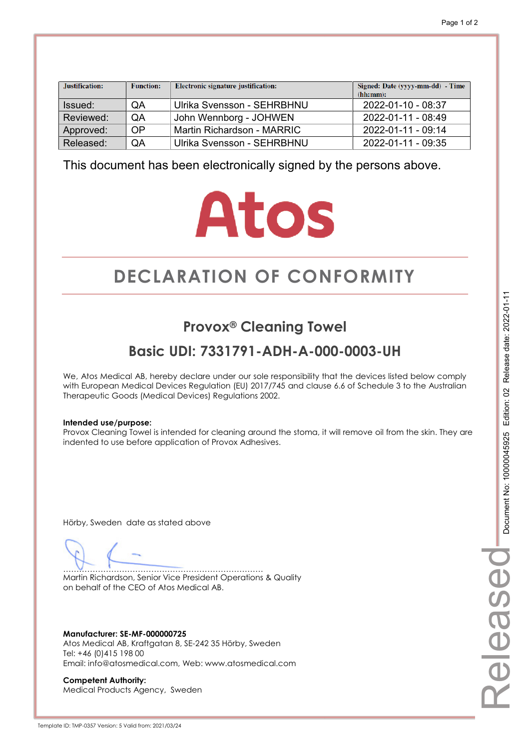| Justification: | <b>Function:</b> | Electronic signature justification: | Signed: Date (yyyy-mm-dd) - Time<br>(hh:mm): |
|----------------|------------------|-------------------------------------|----------------------------------------------|
| Issued:        | QA               | Ulrika Svensson - SEHRBHNU          | 2022-01-10 - 08:37                           |
| Reviewed:      | QA               | John Wennborg - JOHWEN              | 2022-01-11 - 08:49                           |
| Approved:      | OP               | Martin Richardson - MARRIC          | 2022-01-11 - 09:14                           |
| Released:      | QA               | Ulrika Svensson - SEHRBHNU          | 2022-01-11 - 09:35                           |

# **Atos**

# **DECLARATION OF CONFORMITY CONFORMITY**

## **Provox® Cleaning Towel**

## **Basic UDI: 7331791-ADH-A-000-0003-UH**

We, Atos Medical AB, hereby declare under our sole responsibility that the devices listed below comply with European Medical Devices Regulation (EU) 2017/745 and clause 6.6 of Schedule 3 to the Australian Therapeutic Goods (Medical Devices) Regulations 2002.

#### **Intended use/purpose:**

Provox Cleaning Towel is intended for cleaning around the stoma, it will remove oil from the skin. They are indented to use before application of Provox Adhesives.

Hörby, Sweden date as stated above

………………………………………………………………… Martin Richardson, Senior Vice President Operations & Quality on behalf of the CEO of Atos Medical AB.

**Manufacturer: SE-MF-000000725**  Atos Medical AB, Kraftgatan 8, SE-242 35 Hörby, Sweden Tel: +46 (0)415 198 00 Email: info@atosmedical.com, Web: www.atosmedical.com

**Competent Authority:**  Medical Products Agency, Sweden Released

elease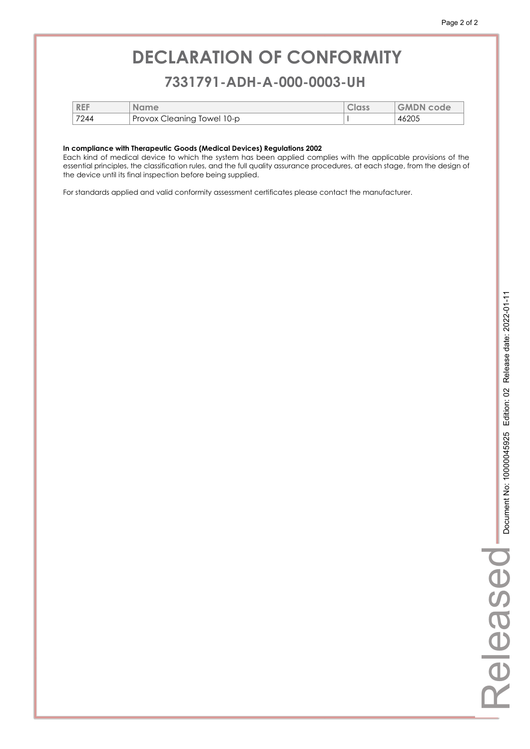### **7331791-ADH-A-000-0003-UH 7331791-ADH-A-000-0003-UH**

| <b>REF</b> | <b>Name</b>                | <b>Class</b> | <b>GMDN code</b> |
|------------|----------------------------|--------------|------------------|
| 7244       | Provox Cleaning Towel 10-p |              | 46205            |

#### **In compliance with Therapeutic Goods (Medical Devices) Regulations 2002**

Each kind of medical device to which the system has been applied complies with the applicable provisions of the essential principles, the classification rules, and the full quality assurance procedures, at each stage, from the design of the device until its final inspection before being supplied.

For standards applied and valid conformity assessment certificates please contact the manufacturer.

Released

Released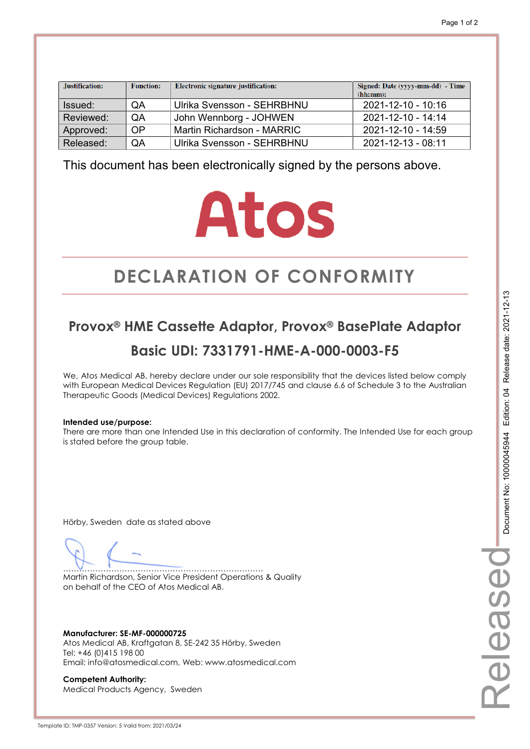| Justification: | <b>Function:</b> | Electronic signature justification: | Signed: Date (yyyy-mm-dd) - Time<br>(hh:mm): |
|----------------|------------------|-------------------------------------|----------------------------------------------|
| Issued:        | QA               | Ulrika Svensson - SEHRBHNU          | 2021-12-10 - 10:16                           |
| Reviewed:      | QA               | John Wennborg - JOHWEN              | $2021 - 12 - 10 - 14.14$                     |
| Approved:      | OP               | Martin Richardson - MARRIC          | 2021-12-10 - 14:59                           |
| Released:      | QA               | Ulrika Svensson - SEHRBHNU          | 2021-12-13 - 08:11                           |

# **Atos**

# **DECLARATION OF CONFORMITY CONFORMITY**

## **Provox® HME Cassette Adaptor, Provox® BasePlate Adaptor Basic UDI: 7331791-HME-A-000-0003-F5**

We, Atos Medical AB, hereby declare under our sole responsibility that the devices listed below comply with European Medical Devices Regulation (EU) 2017/745 and clause 6.6 of Schedule 3 to the Australian Therapeutic Goods (Medical Devices) Regulations 2002.

#### **Intended use/purpose:**

There are more than one Intended Use in this declaration of conformity. The Intended Use for each group is stated before the group table.

Hörby, Sweden date as stated above

………………………………………………………………… Martin Richardson, Senior Vice President Operations & Quality on behalf of the CEO of Atos Medical AB.

**Manufacturer: SE-MF-000000725**  Atos Medical AB, Kraftgatan 8, SE-242 35 Hörby, Sweden Tel: +46 (0)415 198 00 Email: info@atosmedical.com, Web: www.atosmedical.com

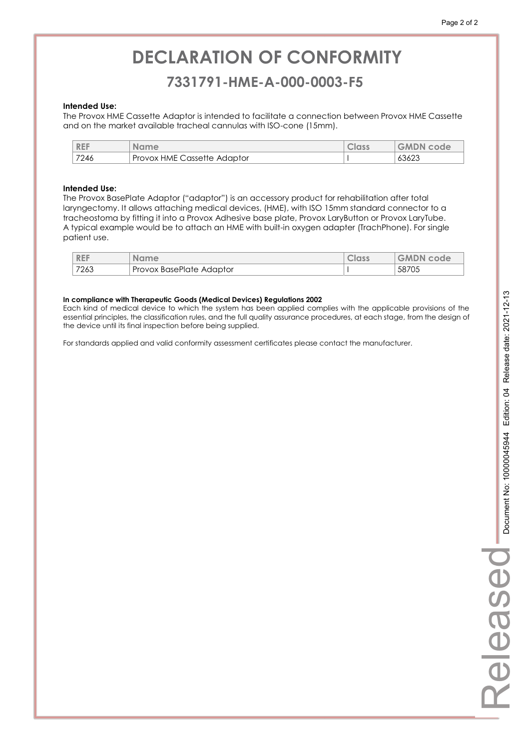## **7331791-HME-A-000-0003-F5 7331791-HME-A-000-0003-F5**

#### **Intended Use:**

The Provox HME Cassette Adaptor is intended to facilitate a connection between Provox HME Cassette and on the market available tracheal cannulas with ISO-cone (15mm).

| <b>REF</b> | <b>Name</b>                 | Class | <b>GMDN code</b> |
|------------|-----------------------------|-------|------------------|
| 7246       | Provox HME Cassette Adaptor |       | 63623            |

#### **Intended Use:**

The Provox BasePlate Adaptor ("adaptor") is an accessory product for rehabilitation after total laryngectomy. It allows attaching medical devices, (HME), with ISO 15mm standard connector to a tracheostoma by fitting it into a Provox Adhesive base plate, Provox LaryButton or Provox LaryTube. A typical example would be to attach an HME with built-in oxygen adapter (TrachPhone). For single patient use.

| <b>REF</b> | <b>Name</b>              | Class | <b>GMDN code</b> |
|------------|--------------------------|-------|------------------|
| 7263       | Provox BasePlate Adaptor |       | 58705            |

#### **In compliance with Therapeutic Goods (Medical Devices) Regulations 2002**

Each kind of medical device to which the system has been applied complies with the applicable provisions of the essential principles, the classification rules, and the full quality assurance procedures, at each stage, from the design of the device until its final inspection before being supplied.

For standards applied and valid conformity assessment certificates please contact the manufacturer.

Released

**Released**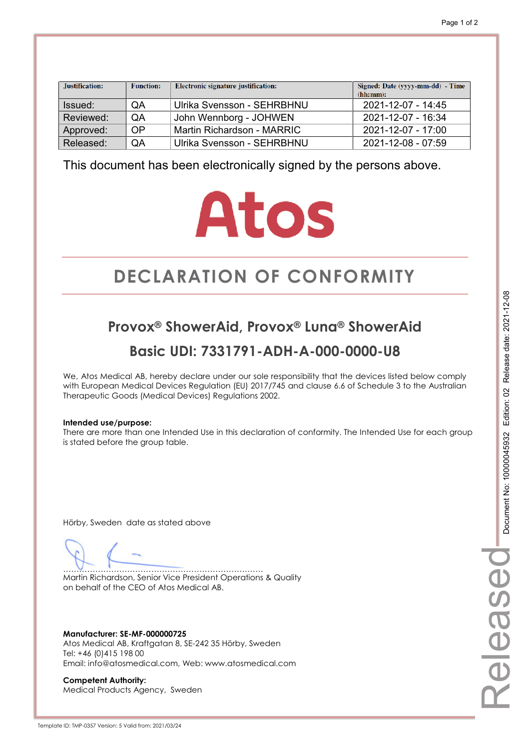| Justification: | <b>Function:</b> | Electronic signature justification: | Signed: Date (yyyy-mm-dd) - Time<br>(hh:mm): |
|----------------|------------------|-------------------------------------|----------------------------------------------|
| Issued:        | QA               | Ulrika Svensson - SEHRBHNU          | 2021-12-07 - 14:45                           |
| Reviewed:      | QA               | John Wennborg - JOHWEN              | 2021-12-07 - 16:34                           |
| Approved:      | OP               | Martin Richardson - MARRIC          | 2021-12-07 - 17:00                           |
| Released:      | QA               | Ulrika Svensson - SEHRBHNU          | 2021-12-08 - 07:59                           |

# **Atos**

# **DECLARATION OF CONFORMITY CONFORMITY**

## **Provox® ShowerAid, Provox® Luna® ShowerAid Basic UDI: 7331791-ADH-A-000-0000-U8**

We, Atos Medical AB, hereby declare under our sole responsibility that the devices listed below comply with European Medical Devices Regulation (EU) 2017/745 and clause 6.6 of Schedule 3 to the Australian Therapeutic Goods (Medical Devices) Regulations 2002.

#### **Intended use/purpose:**

There are more than one Intended Use in this declaration of conformity. The Intended Use for each group is stated before the group table.

Hörby, Sweden date as stated above

………………………………………………………………… Martin Richardson, Senior Vice President Operations & Quality on behalf of the CEO of Atos Medical AB.

**Manufacturer: SE-MF-000000725**  Atos Medical AB, Kraftgatan 8, SE-242 35 Hörby, Sweden Tel: +46 (0)415 198 00 Email: info@atosmedical.com, Web: www.atosmedical.com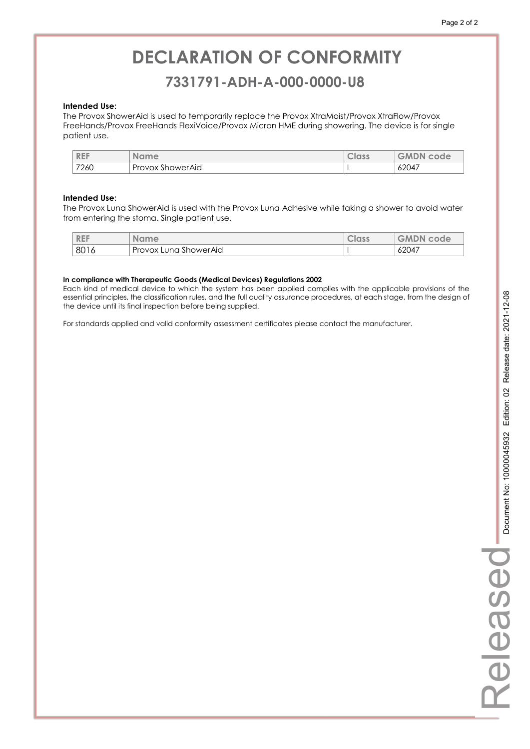### **7331791-ADH-A-000-0000-U8 7331791-ADH-A-000-0000-U8**

#### **Intended Use:**

The Provox ShowerAid is used to temporarily replace the Provox XtraMoist/Provox XtraFlow/Provox FreeHands/Provox FreeHands FlexiVoice/Provox Micron HME during showering. The device is for single patient use.

| <b>REF</b> | <b>Name</b>      | Class | <b>GMDN</b><br>code |
|------------|------------------|-------|---------------------|
| 7260       | Provox ShowerAid |       | 62047               |

#### **Intended Use:**

The Provox Luna ShowerAid is used with the Provox Luna Adhesive while taking a shower to avoid water from entering the stoma. Single patient use.

| <b>REF</b> | <b>Name</b>           | <b>Class</b> | <b>GMDN</b><br>coue |
|------------|-----------------------|--------------|---------------------|
| 8016       | Provox Luna ShowerAid |              | 62047               |

#### **In compliance with Therapeutic Goods (Medical Devices) Regulations 2002**

Each kind of medical device to which the system has been applied complies with the applicable provisions of the essential principles, the classification rules, and the full quality assurance procedures, at each stage, from the design of the device until its final inspection before being supplied.

For standards applied and valid conformity assessment certificates please contact the manufacturer.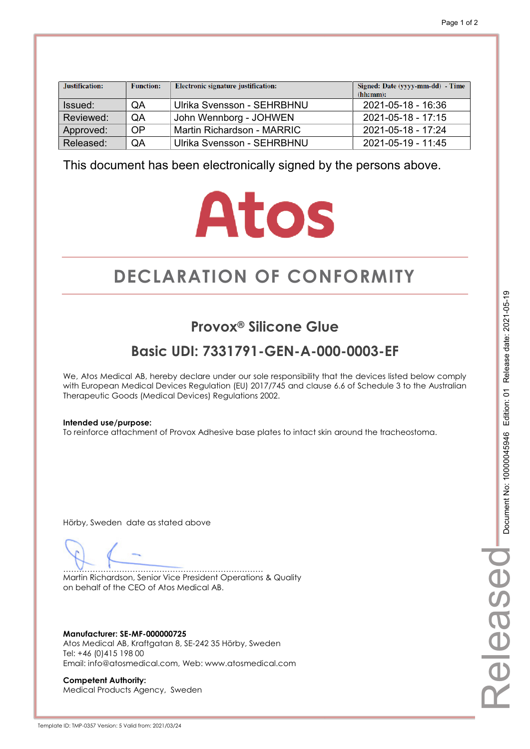| Justification: | <b>Function:</b> | Electronic signature justification: | Signed: Date (yyyy-mm-dd) - Time<br>(hh:mm): |
|----------------|------------------|-------------------------------------|----------------------------------------------|
| Issued:        | QA               | Ulrika Svensson - SEHRBHNU          | 2021-05-18 - 16:36                           |
| Reviewed:      | QA               | John Wennborg - JOHWEN              | $2021 - 05 - 18 - 17:15$                     |
| Approved:      | OP               | Martin Richardson - MARRIC          | $2021 - 05 - 18 - 17.24$                     |
| Released:      | QA               | Ulrika Svensson - SEHRBHNU          | 2021-05-19 - 11:45                           |

# **Atos**

# **DECLARATION OF CONFORMITY CONFORMITY**

## **Provox® Silicone Glue**

## **Basic UDI: 7331791-GEN-A-000-0003-EF**

We, Atos Medical AB, hereby declare under our sole responsibility that the devices listed below comply with European Medical Devices Regulation (EU) 2017/745 and clause 6.6 of Schedule 3 to the Australian Therapeutic Goods (Medical Devices) Regulations 2002.

#### **Intended use/purpose:**

To reinforce attachment of Provox Adhesive base plates to intact skin around the tracheostoma.

Hörby, Sweden date as stated above

………………………………………………………………… Martin Richardson, Senior Vice President Operations & Quality on behalf of the CEO of Atos Medical AB.

**Manufacturer: SE-MF-000000725**  Atos Medical AB, Kraftgatan 8, SE-242 35 Hörby, Sweden Tel: +46 (0)415 198 00 Email: info@atosmedical.com, Web: www.atosmedical.com

**Competent Authority:**  Medical Products Agency, Sweden Released

eleasec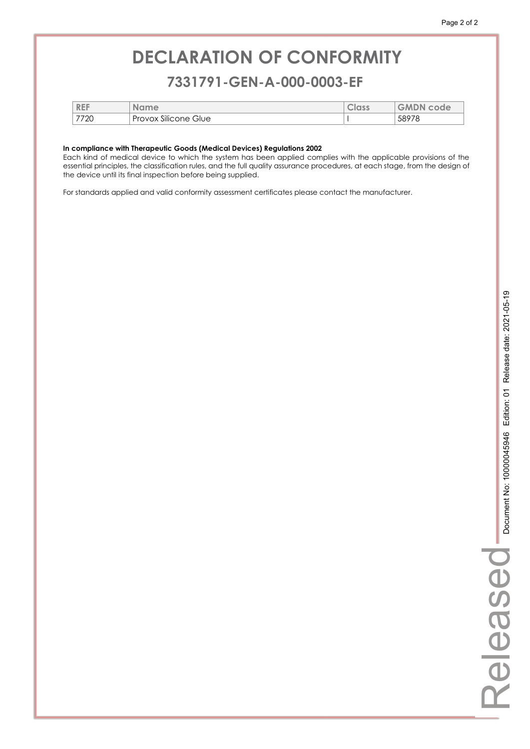### **7331791-GEN-A-000-0003-EF 7331791-GEN-A-000-0003-EF**

| <b>REF</b> | <b>Name</b>          | Class | <b>GMDN</b><br>code |
|------------|----------------------|-------|---------------------|
| 7720       | Provox Silicone Glue |       | 58978               |

#### **In compliance with Therapeutic Goods (Medical Devices) Regulations 2002**

Each kind of medical device to which the system has been applied complies with the applicable provisions of the essential principles, the classification rules, and the full quality assurance procedures, at each stage, from the design of the device until its final inspection before being supplied.

For standards applied and valid conformity assessment certificates please contact the manufacturer.

Released

Released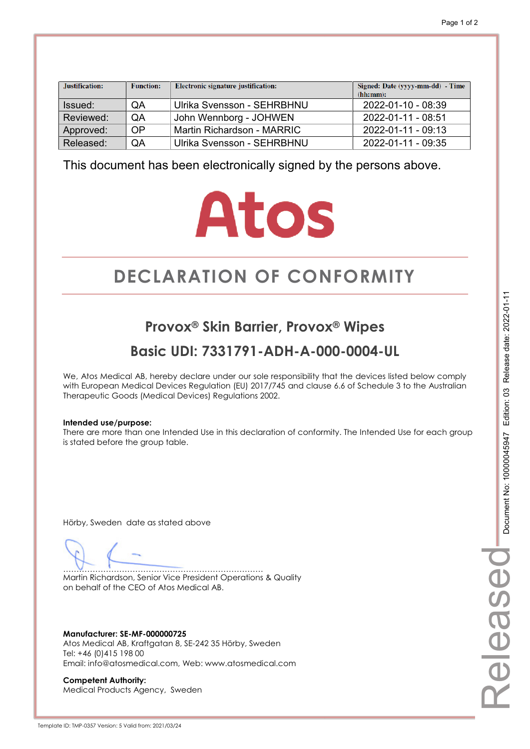| Justification: | <b>Function:</b> | Electronic signature justification: | Signed: Date (yyyy-mm-dd) - Time<br>(hh:mm): |
|----------------|------------------|-------------------------------------|----------------------------------------------|
| Issued:        | QA               | Ulrika Svensson - SEHRBHNU          | 2022-01-10 - 08:39                           |
| Reviewed:      | QA               | John Wennborg - JOHWEN              | 2022-01-11 - 08:51                           |
| Approved:      | <b>OP</b>        | Martin Richardson - MARRIC          | 2022-01-11 - 09:13                           |
| Released:      | QA               | Ulrika Svensson - SEHRBHNU          | 2022-01-11 - 09:35                           |

# **Atos**

# **DECLARATION OF CONFORMITY CONFORMITY**

## **Provox® Skin Barrier, Provox® Wipes**

## **Basic UDI: 7331791-ADH-A-000-0004-UL**

We, Atos Medical AB, hereby declare under our sole responsibility that the devices listed below comply with European Medical Devices Regulation (EU) 2017/745 and clause 6.6 of Schedule 3 to the Australian Therapeutic Goods (Medical Devices) Regulations 2002.

#### **Intended use/purpose:**

There are more than one Intended Use in this declaration of conformity. The Intended Use for each group is stated before the group table.

Hörby, Sweden date as stated above

………………………………………………………………… Martin Richardson, Senior Vice President Operations & Quality on behalf of the CEO of Atos Medical AB.

**Manufacturer: SE-MF-000000725**  Atos Medical AB, Kraftgatan 8, SE-242 35 Hörby, Sweden Tel: +46 (0)415 198 00 Email: info@atosmedical.com, Web: www.atosmedical.com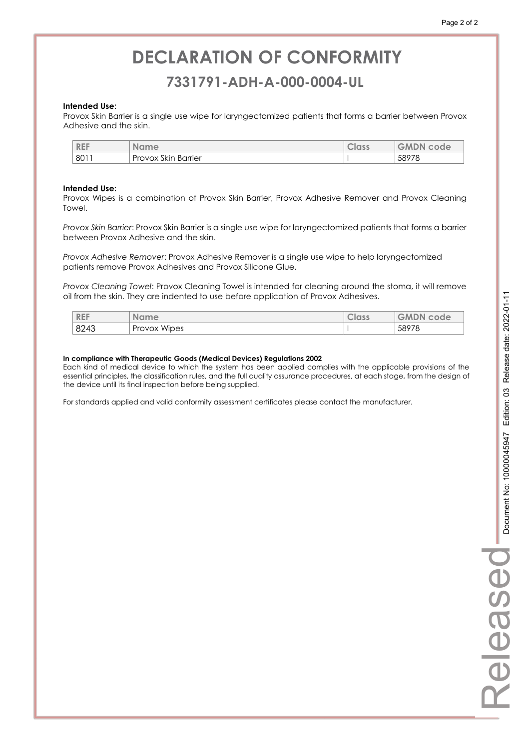### **7331791-ADH-A-000-0004-UL 7331791-ADH-A-000-0004-UL**

#### **Intended Use:**

Provox Skin Barrier is a single use wipe for laryngectomized patients that forms a barrier between Provox Adhesive and the skin.

| <b>REF</b> | Name                             | <b>Class</b> | <b>GMDN</b><br>code |
|------------|----------------------------------|--------------|---------------------|
| 8011       | $\sim$<br>Barrier<br>Provox Skin |              | 58978               |

#### **Intended Use:**

Provox Wipes is a combination of Provox Skin Barrier, Provox Adhesive Remover and Provox Cleaning Towel.

*Provox Skin Barrier*: Provox Skin Barrier is a single use wipe for laryngectomized patients that forms a barrier between Provox Adhesive and the skin.

*Provox Adhesive Remover*: Provox Adhesive Remover is a single use wipe to help laryngectomized patients remove Provox Adhesives and Provox Silicone Glue.

*Provox Cleaning Towel*: Provox Cleaning Towel is intended for cleaning around the stoma, it will remove oil from the skin. They are indented to use before application of Provox Adhesives.

| <b>REF</b> | <b>Name</b>  | <b>Class</b> | <b>GMDN</b><br>code |
|------------|--------------|--------------|---------------------|
| 8243       | Provox Wipes |              | 58978               |

#### **In compliance with Therapeutic Goods (Medical Devices) Regulations 2002**

Each kind of medical device to which the system has been applied complies with the applicable provisions of the essential principles, the classification rules, and the full quality assurance procedures, at each stage, from the design of the device until its final inspection before being supplied.

For standards applied and valid conformity assessment certificates please contact the manufacturer.

Released

Released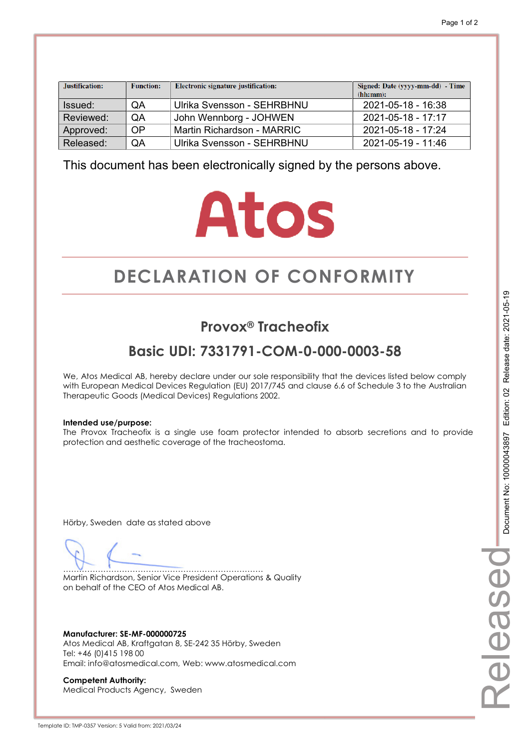| Justification: | <b>Function:</b> | Electronic signature justification: | Signed: Date (yyyy-mm-dd) - Time<br>(hh:mm): |
|----------------|------------------|-------------------------------------|----------------------------------------------|
| Issued:        | QA               | Ulrika Svensson - SEHRBHNU          | 2021-05-18 - 16:38                           |
| Reviewed:      | QA               | John Wennborg - JOHWEN              | $2021 - 05 - 18 - 17:17$                     |
| Approved:      | OP               | Martin Richardson - MARRIC          | $2021 - 05 - 18 - 17.24$                     |
| Released:      | QA               | Ulrika Svensson - SEHRBHNU          | 2021-05-19 - 11:46                           |

# **Atos**

# **DECLARATION OF CONFORMITY CONFORMITY**

## **Provox® Tracheofix**

## **Basic UDI: 7331791-COM-0-000-0003-58**

We, Atos Medical AB, hereby declare under our sole responsibility that the devices listed below comply with European Medical Devices Regulation (EU) 2017/745 and clause 6.6 of Schedule 3 to the Australian Therapeutic Goods (Medical Devices) Regulations 2002.

#### **Intended use/purpose:**

The Provox Tracheofix is a single use foam protector intended to absorb secretions and to provide protection and aesthetic coverage of the tracheostoma.

Hörby, Sweden date as stated above

………………………………………………………………… Martin Richardson, Senior Vice President Operations & Quality on behalf of the CEO of Atos Medical AB.

**Manufacturer: SE-MF-000000725**  Atos Medical AB, Kraftgatan 8, SE-242 35 Hörby, Sweden Tel: +46 (0)415 198 00 Email: info@atosmedical.com, Web: www.atosmedical.com

**Competent Authority:**  Medical Products Agency, Sweden Released

eleasec